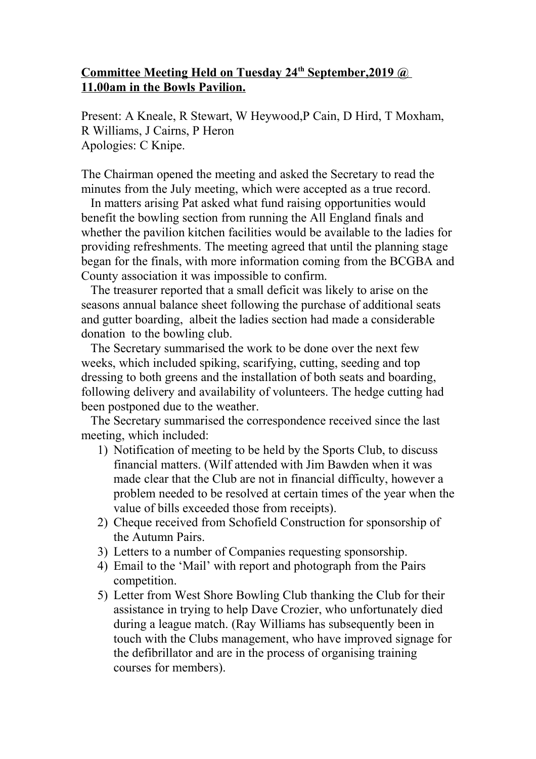## **Committee Meeting Held on Tuesday 24th September,2019 @ 11.00am in the Bowls Pavilion.**

Present: A Kneale, R Stewart, W Heywood,P Cain, D Hird, T Moxham, R Williams, J Cairns, P Heron Apologies: C Knipe.

The Chairman opened the meeting and asked the Secretary to read the minutes from the July meeting, which were accepted as a true record.

 In matters arising Pat asked what fund raising opportunities would benefit the bowling section from running the All England finals and whether the pavilion kitchen facilities would be available to the ladies for providing refreshments. The meeting agreed that until the planning stage began for the finals, with more information coming from the BCGBA and County association it was impossible to confirm.

 The treasurer reported that a small deficit was likely to arise on the seasons annual balance sheet following the purchase of additional seats and gutter boarding, albeit the ladies section had made a considerable donation to the bowling club.

 The Secretary summarised the work to be done over the next few weeks, which included spiking, scarifying, cutting, seeding and top dressing to both greens and the installation of both seats and boarding, following delivery and availability of volunteers. The hedge cutting had been postponed due to the weather.

 The Secretary summarised the correspondence received since the last meeting, which included:

- 1) Notification of meeting to be held by the Sports Club, to discuss financial matters. (Wilf attended with Jim Bawden when it was made clear that the Club are not in financial difficulty, however a problem needed to be resolved at certain times of the year when the value of bills exceeded those from receipts).
- 2) Cheque received from Schofield Construction for sponsorship of the Autumn Pairs.
- 3) Letters to a number of Companies requesting sponsorship.
- 4) Email to the 'Mail' with report and photograph from the Pairs competition.
- 5) Letter from West Shore Bowling Club thanking the Club for their assistance in trying to help Dave Crozier, who unfortunately died during a league match. (Ray Williams has subsequently been in touch with the Clubs management, who have improved signage for the defibrillator and are in the process of organising training courses for members).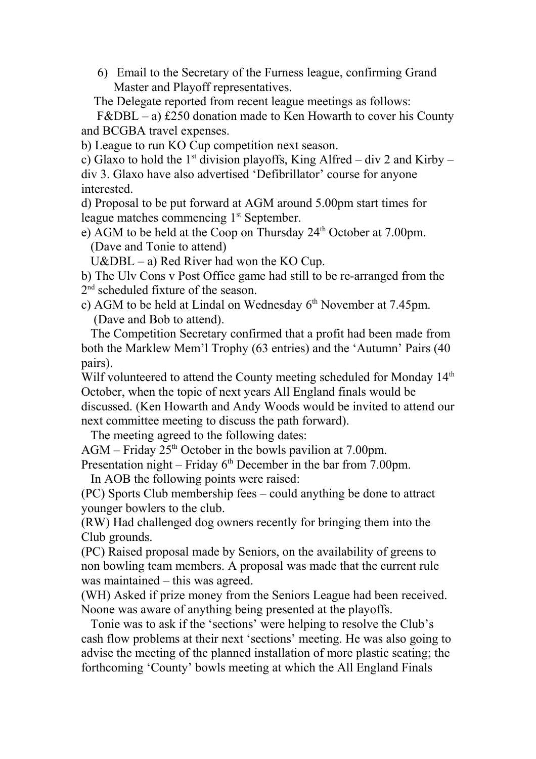6) Email to the Secretary of the Furness league, confirming Grand Master and Playoff representatives.

The Delegate reported from recent league meetings as follows:

 $F\&DBL - a$ ) £250 donation made to Ken Howarth to cover his County and BCGBA travel expenses.

b) League to run KO Cup competition next season.

c) Glaxo to hold the 1<sup>st</sup> division playoffs, King Alfred – div 2 and Kirby – div 3. Glaxo have also advertised 'Defibrillator' course for anyone interested.

d) Proposal to be put forward at AGM around 5.00pm start times for league matches commencing 1<sup>st</sup> September.

e) AGM to be held at the Coop on Thursday 24th October at 7.00pm. (Dave and Tonie to attend)

 $U\&DBL - a$ ) Red River had won the KO Cup.

b) The Ulv Cons v Post Office game had still to be re-arranged from the 2<sup>nd</sup> scheduled fixture of the season.

c) AGM to be held at Lindal on Wednesday  $6<sup>th</sup>$  November at 7.45pm. (Dave and Bob to attend).

 The Competition Secretary confirmed that a profit had been made from both the Marklew Mem'l Trophy (63 entries) and the 'Autumn' Pairs (40 pairs).

Wilf volunteered to attend the County meeting scheduled for Monday  $14<sup>th</sup>$ October, when the topic of next years All England finals would be discussed. (Ken Howarth and Andy Woods would be invited to attend our next committee meeting to discuss the path forward).

The meeting agreed to the following dates:

AGM – Friday  $25<sup>th</sup>$  October in the bowls pavilion at 7.00pm.

Presentation night – Friday  $6<sup>th</sup>$  December in the bar from 7.00pm.

In AOB the following points were raised:

(PC) Sports Club membership fees – could anything be done to attract younger bowlers to the club.

(RW) Had challenged dog owners recently for bringing them into the Club grounds.

(PC) Raised proposal made by Seniors, on the availability of greens to non bowling team members. A proposal was made that the current rule was maintained – this was agreed.

(WH) Asked if prize money from the Seniors League had been received. Noone was aware of anything being presented at the playoffs.

 Tonie was to ask if the 'sections' were helping to resolve the Club's cash flow problems at their next 'sections' meeting. He was also going to advise the meeting of the planned installation of more plastic seating; the forthcoming 'County' bowls meeting at which the All England Finals